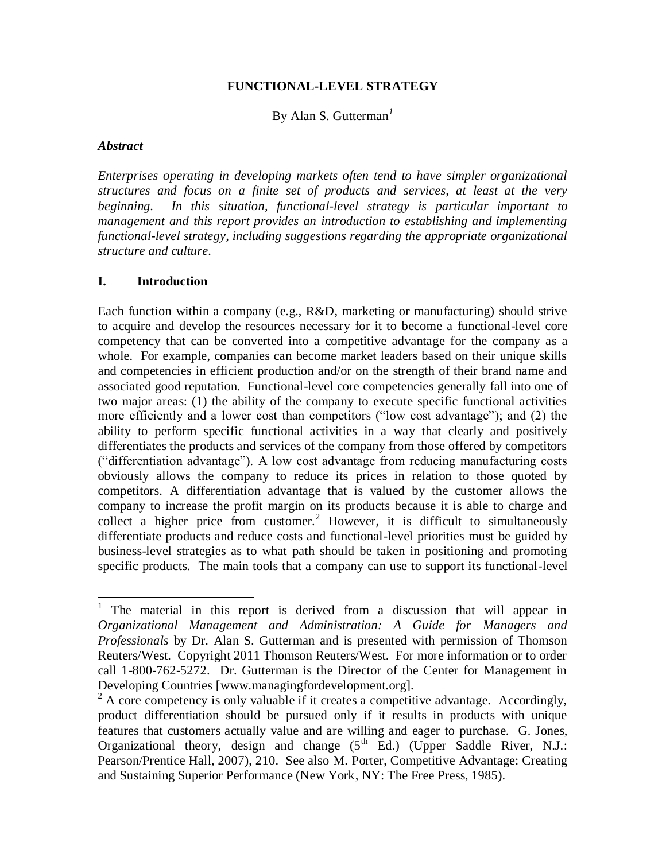### **FUNCTIONAL-LEVEL STRATEGY**

By Alan S. Gutterman*<sup>1</sup>*

#### *Abstract*

 $\overline{\phantom{a}}$ 

*Enterprises operating in developing markets often tend to have simpler organizational structures and focus on a finite set of products and services, at least at the very beginning. In this situation, functional-level strategy is particular important to management and this report provides an introduction to establishing and implementing functional-level strategy, including suggestions regarding the appropriate organizational structure and culture.*

### **I. Introduction**

Each function within a company (e.g., R&D, marketing or manufacturing) should strive to acquire and develop the resources necessary for it to become a functional-level core competency that can be converted into a competitive advantage for the company as a whole. For example, companies can become market leaders based on their unique skills and competencies in efficient production and/or on the strength of their brand name and associated good reputation. Functional-level core competencies generally fall into one of two major areas: (1) the ability of the company to execute specific functional activities more efficiently and a lower cost than competitors ("low cost advantage"); and (2) the ability to perform specific functional activities in a way that clearly and positively differentiates the products and services of the company from those offered by competitors ("differentiation advantage"). A low cost advantage from reducing manufacturing costs obviously allows the company to reduce its prices in relation to those quoted by competitors. A differentiation advantage that is valued by the customer allows the company to increase the profit margin on its products because it is able to charge and collect a higher price from customer.<sup>2</sup> However, it is difficult to simultaneously differentiate products and reduce costs and functional-level priorities must be guided by business-level strategies as to what path should be taken in positioning and promoting specific products. The main tools that a company can use to support its functional-level

<sup>&</sup>lt;sup>1</sup> The material in this report is derived from a discussion that will appear in *Organizational Management and Administration: A Guide for Managers and Professionals* by Dr. Alan S. Gutterman and is presented with permission of Thomson Reuters/West. Copyright 2011 Thomson Reuters/West. For more information or to order call 1-800-762-5272. Dr. Gutterman is the Director of the Center for Management in Developing Countries [www.managingfordevelopment.org].

 $2^2$  A core competency is only valuable if it creates a competitive advantage. Accordingly, product differentiation should be pursued only if it results in products with unique features that customers actually value and are willing and eager to purchase. G. Jones, Organizational theory, design and change  $(5^{th}$  Ed.) (Upper Saddle River, N.J.: Pearson/Prentice Hall, 2007), 210. See also M. Porter, Competitive Advantage: Creating and Sustaining Superior Performance (New York, NY: The Free Press, 1985).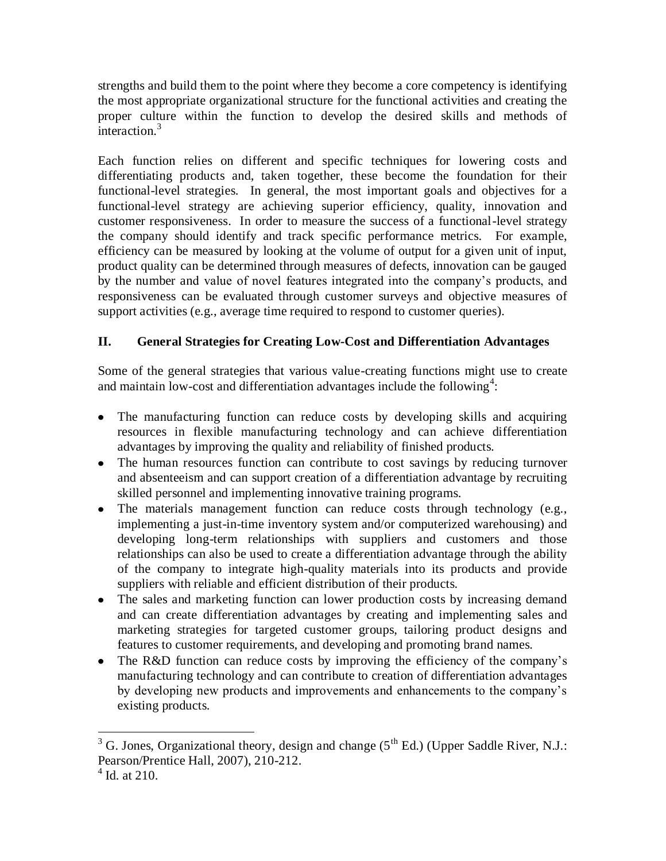strengths and build them to the point where they become a core competency is identifying the most appropriate organizational structure for the functional activities and creating the proper culture within the function to develop the desired skills and methods of  $interaction<sup>3</sup>$ 

Each function relies on different and specific techniques for lowering costs and differentiating products and, taken together, these become the foundation for their functional-level strategies. In general, the most important goals and objectives for a functional-level strategy are achieving superior efficiency, quality, innovation and customer responsiveness. In order to measure the success of a functional-level strategy the company should identify and track specific performance metrics. For example, efficiency can be measured by looking at the volume of output for a given unit of input, product quality can be determined through measures of defects, innovation can be gauged by the number and value of novel features integrated into the company's products, and responsiveness can be evaluated through customer surveys and objective measures of support activities (e.g., average time required to respond to customer queries).

# **II. General Strategies for Creating Low-Cost and Differentiation Advantages**

Some of the general strategies that various value-creating functions might use to create and maintain low-cost and differentiation advantages include the following<sup>4</sup>:

- The manufacturing function can reduce costs by developing skills and acquiring resources in flexible manufacturing technology and can achieve differentiation advantages by improving the quality and reliability of finished products.
- The human resources function can contribute to cost savings by reducing turnover and absenteeism and can support creation of a differentiation advantage by recruiting skilled personnel and implementing innovative training programs.
- The materials management function can reduce costs through technology (e.g., implementing a just-in-time inventory system and/or computerized warehousing) and developing long-term relationships with suppliers and customers and those relationships can also be used to create a differentiation advantage through the ability of the company to integrate high-quality materials into its products and provide suppliers with reliable and efficient distribution of their products.
- The sales and marketing function can lower production costs by increasing demand and can create differentiation advantages by creating and implementing sales and marketing strategies for targeted customer groups, tailoring product designs and features to customer requirements, and developing and promoting brand names.
- The R&D function can reduce costs by improving the efficiency of the company's manufacturing technology and can contribute to creation of differentiation advantages by developing new products and improvements and enhancements to the company's existing products.

 $\overline{a}$  $3$  G. Jones, Organizational theory, design and change ( $5<sup>th</sup>$  Ed.) (Upper Saddle River, N.J.: Pearson/Prentice Hall, 2007), 210-212.

<sup>&</sup>lt;sup>4</sup> Id. at 210.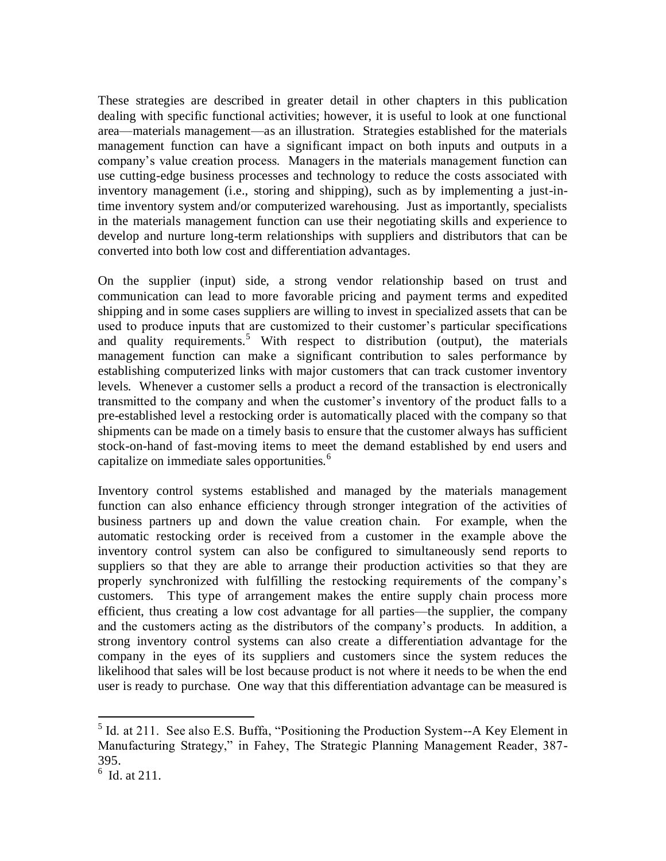These strategies are described in greater detail in other chapters in this publication dealing with specific functional activities; however, it is useful to look at one functional area—materials management—as an illustration. Strategies established for the materials management function can have a significant impact on both inputs and outputs in a company's value creation process. Managers in the materials management function can use cutting-edge business processes and technology to reduce the costs associated with inventory management (i.e., storing and shipping), such as by implementing a just-intime inventory system and/or computerized warehousing. Just as importantly, specialists in the materials management function can use their negotiating skills and experience to develop and nurture long-term relationships with suppliers and distributors that can be converted into both low cost and differentiation advantages.

On the supplier (input) side, a strong vendor relationship based on trust and communication can lead to more favorable pricing and payment terms and expedited shipping and in some cases suppliers are willing to invest in specialized assets that can be used to produce inputs that are customized to their customer's particular specifications and quality requirements.<sup>5</sup> With respect to distribution (output), the materials management function can make a significant contribution to sales performance by establishing computerized links with major customers that can track customer inventory levels. Whenever a customer sells a product a record of the transaction is electronically transmitted to the company and when the customer's inventory of the product falls to a pre-established level a restocking order is automatically placed with the company so that shipments can be made on a timely basis to ensure that the customer always has sufficient stock-on-hand of fast-moving items to meet the demand established by end users and capitalize on immediate sales opportunities. $<sup>6</sup>$ </sup>

Inventory control systems established and managed by the materials management function can also enhance efficiency through stronger integration of the activities of business partners up and down the value creation chain. For example, when the automatic restocking order is received from a customer in the example above the inventory control system can also be configured to simultaneously send reports to suppliers so that they are able to arrange their production activities so that they are properly synchronized with fulfilling the restocking requirements of the company's customers. This type of arrangement makes the entire supply chain process more efficient, thus creating a low cost advantage for all parties—the supplier, the company and the customers acting as the distributors of the company's products. In addition, a strong inventory control systems can also create a differentiation advantage for the company in the eyes of its suppliers and customers since the system reduces the likelihood that sales will be lost because product is not where it needs to be when the end user is ready to purchase. One way that this differentiation advantage can be measured is

l

 $<sup>5</sup>$  Id. at 211. See also E.S. Buffa, "Positioning the Production System--A Key Element in</sup> Manufacturing Strategy," in Fahey, The Strategic Planning Management Reader, 387- 395.

 $6$  Id. at 211.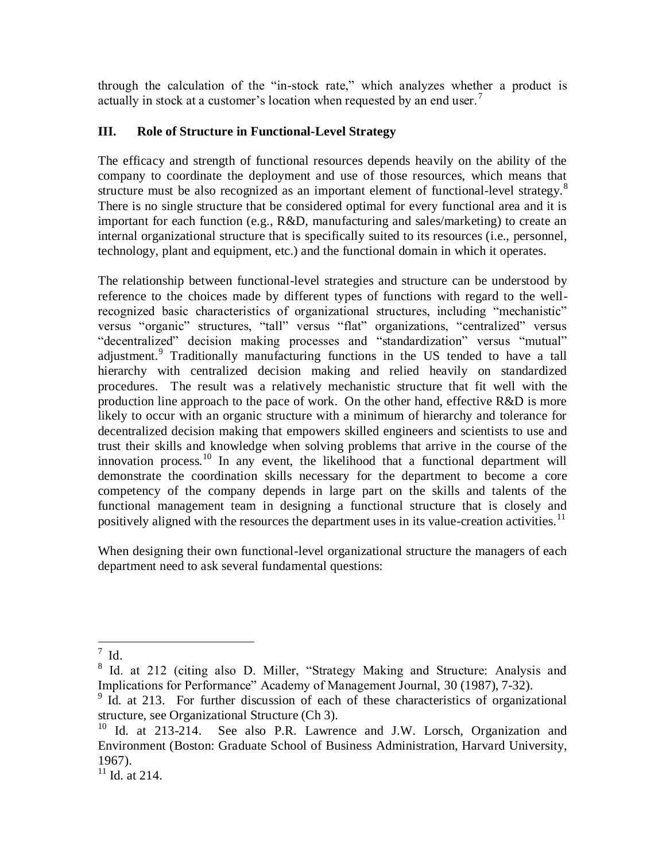through the calculation of the "in-stock rate," which analyzes whether a product is actually in stock at a customer's location when requested by an end user.<sup>7</sup>

## **III. Role of Structure in Functional-Level Strategy**

The efficacy and strength of functional resources depends heavily on the ability of the company to coordinate the deployment and use of those resources, which means that structure must be also recognized as an important element of functional-level strategy.<sup>8</sup> There is no single structure that be considered optimal for every functional area and it is important for each function (e.g., R&D, manufacturing and sales/marketing) to create an internal organizational structure that is specifically suited to its resources (i.e., personnel, technology, plant and equipment, etc.) and the functional domain in which it operates.

The relationship between functional-level strategies and structure can be understood by reference to the choices made by different types of functions with regard to the wellrecognized basic characteristics of organizational structures, including "mechanistic" versus "organic" structures, "tall" versus "flat" organizations, "centralized" versus "decentralized" decision making processes and "standardization" versus "mutual" adjustment.<sup>9</sup> Traditionally manufacturing functions in the US tended to have a tall hierarchy with centralized decision making and relied heavily on standardized procedures. The result was a relatively mechanistic structure that fit well with the production line approach to the pace of work. On the other hand, effective R&D is more likely to occur with an organic structure with a minimum of hierarchy and tolerance for decentralized decision making that empowers skilled engineers and scientists to use and trust their skills and knowledge when solving problems that arrive in the course of the innovation process.<sup>10</sup> In any event, the likelihood that a functional department will demonstrate the coordination skills necessary for the department to become a core competency of the company depends in large part on the skills and talents of the functional management team in designing a functional structure that is closely and positively aligned with the resources the department uses in its value-creation activities.<sup>11</sup>

When designing their own functional-level organizational structure the managers of each department need to ask several fundamental questions:

 $\frac{1}{7}$  Id.

<sup>8</sup> Id. at 212 (citing also D. Miller, "Strategy Making and Structure: Analysis and Implications for Performance" Academy of Management Journal, 30 (1987), 7-32).

<sup>&</sup>lt;sup>9</sup> Id. at 213. For further discussion of each of these characteristics of organizational structure, see Organizational Structure (Ch 3).

<sup>&</sup>lt;sup>10</sup> Id. at 213-214. See also P.R. Lawrence and J.W. Lorsch, Organization and Environment (Boston: Graduate School of Business Administration, Harvard University, 1967).

<sup>&</sup>lt;sup>11</sup> Id. at 214.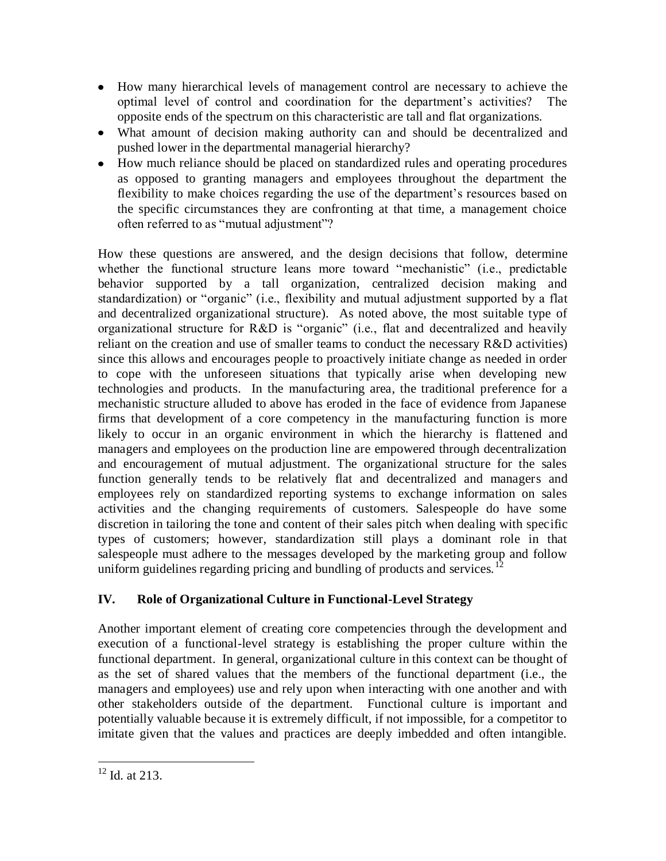- How many hierarchical levels of management control are necessary to achieve the optimal level of control and coordination for the department's activities? The opposite ends of the spectrum on this characteristic are tall and flat organizations.
- What amount of decision making authority can and should be decentralized and pushed lower in the departmental managerial hierarchy?
- How much reliance should be placed on standardized rules and operating procedures as opposed to granting managers and employees throughout the department the flexibility to make choices regarding the use of the department's resources based on the specific circumstances they are confronting at that time, a management choice often referred to as "mutual adjustment"?

How these questions are answered, and the design decisions that follow, determine whether the functional structure leans more toward "mechanistic" (i.e., predictable behavior supported by a tall organization, centralized decision making and standardization) or "organic" (i.e., flexibility and mutual adjustment supported by a flat and decentralized organizational structure). As noted above, the most suitable type of organizational structure for R&D is "organic" (i.e., flat and decentralized and heavily reliant on the creation and use of smaller teams to conduct the necessary R&D activities) since this allows and encourages people to proactively initiate change as needed in order to cope with the unforeseen situations that typically arise when developing new technologies and products. In the manufacturing area, the traditional preference for a mechanistic structure alluded to above has eroded in the face of evidence from Japanese firms that development of a core competency in the manufacturing function is more likely to occur in an organic environment in which the hierarchy is flattened and managers and employees on the production line are empowered through decentralization and encouragement of mutual adjustment. The organizational structure for the sales function generally tends to be relatively flat and decentralized and managers and employees rely on standardized reporting systems to exchange information on sales activities and the changing requirements of customers. Salespeople do have some discretion in tailoring the tone and content of their sales pitch when dealing with specific types of customers; however, standardization still plays a dominant role in that salespeople must adhere to the messages developed by the marketing group and follow uniform guidelines regarding pricing and bundling of products and services.<sup>12</sup>

# **IV. Role of Organizational Culture in Functional-Level Strategy**

Another important element of creating core competencies through the development and execution of a functional-level strategy is establishing the proper culture within the functional department. In general, organizational culture in this context can be thought of as the set of shared values that the members of the functional department (i.e., the managers and employees) use and rely upon when interacting with one another and with other stakeholders outside of the department. Functional culture is important and potentially valuable because it is extremely difficult, if not impossible, for a competitor to imitate given that the values and practices are deeply imbedded and often intangible.

 $\overline{a}$  $12$  Id. at 213.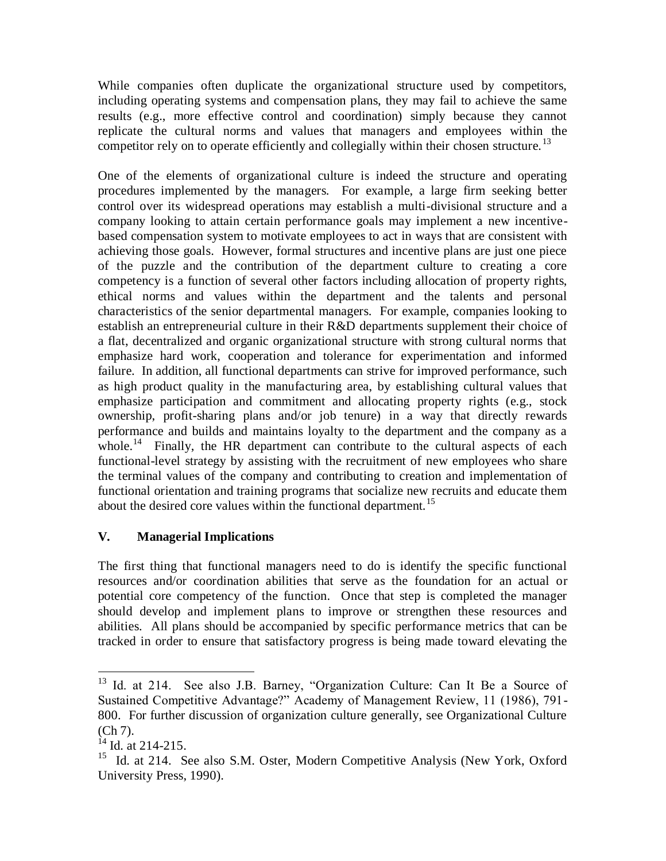While companies often duplicate the organizational structure used by competitors, including operating systems and compensation plans, they may fail to achieve the same results (e.g., more effective control and coordination) simply because they cannot replicate the cultural norms and values that managers and employees within the competitor rely on to operate efficiently and collegially within their chosen structure.<sup>13</sup>

One of the elements of organizational culture is indeed the structure and operating procedures implemented by the managers. For example, a large firm seeking better control over its widespread operations may establish a multi-divisional structure and a company looking to attain certain performance goals may implement a new incentivebased compensation system to motivate employees to act in ways that are consistent with achieving those goals. However, formal structures and incentive plans are just one piece of the puzzle and the contribution of the department culture to creating a core competency is a function of several other factors including allocation of property rights, ethical norms and values within the department and the talents and personal characteristics of the senior departmental managers. For example, companies looking to establish an entrepreneurial culture in their R&D departments supplement their choice of a flat, decentralized and organic organizational structure with strong cultural norms that emphasize hard work, cooperation and tolerance for experimentation and informed failure. In addition, all functional departments can strive for improved performance, such as high product quality in the manufacturing area, by establishing cultural values that emphasize participation and commitment and allocating property rights (e.g., stock ownership, profit-sharing plans and/or job tenure) in a way that directly rewards performance and builds and maintains loyalty to the department and the company as a whole.<sup>14</sup> Finally, the HR department can contribute to the cultural aspects of each functional-level strategy by assisting with the recruitment of new employees who share the terminal values of the company and contributing to creation and implementation of functional orientation and training programs that socialize new recruits and educate them about the desired core values within the functional department.<sup>15</sup>

## **V. Managerial Implications**

The first thing that functional managers need to do is identify the specific functional resources and/or coordination abilities that serve as the foundation for an actual or potential core competency of the function. Once that step is completed the manager should develop and implement plans to improve or strengthen these resources and abilities. All plans should be accompanied by specific performance metrics that can be tracked in order to ensure that satisfactory progress is being made toward elevating the

 $\overline{a}$ 

<sup>&</sup>lt;sup>13</sup> Id. at 214. See also J.B. Barney, "Organization Culture: Can It Be a Source of Sustained Competitive Advantage?" Academy of Management Review, 11 (1986), 791- 800. For further discussion of organization culture generally, see Organizational Culture (Ch 7).

 $^{14}$  Id. at 214-215.

<sup>&</sup>lt;sup>15</sup> Id. at 214. See also S.M. Oster, Modern Competitive Analysis (New York, Oxford University Press, 1990).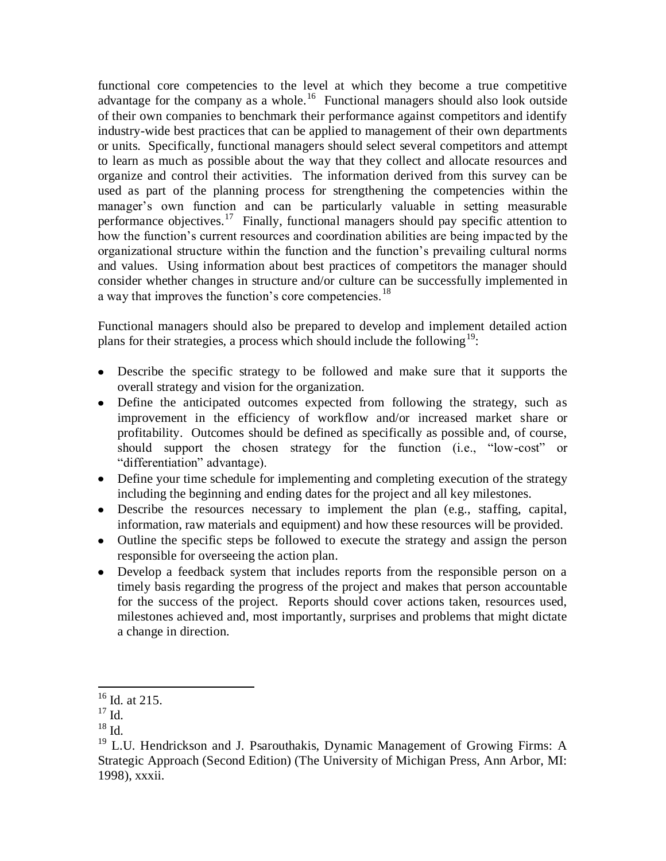functional core competencies to the level at which they become a true competitive advantage for the company as a whole.<sup>16</sup> Functional managers should also look outside of their own companies to benchmark their performance against competitors and identify industry-wide best practices that can be applied to management of their own departments or units. Specifically, functional managers should select several competitors and attempt to learn as much as possible about the way that they collect and allocate resources and organize and control their activities. The information derived from this survey can be used as part of the planning process for strengthening the competencies within the manager's own function and can be particularly valuable in setting measurable performance objectives.<sup>17</sup> Finally, functional managers should pay specific attention to how the function's current resources and coordination abilities are being impacted by the organizational structure within the function and the function's prevailing cultural norms and values. Using information about best practices of competitors the manager should consider whether changes in structure and/or culture can be successfully implemented in a way that improves the function's core competencies.<sup>18</sup>

Functional managers should also be prepared to develop and implement detailed action plans for their strategies, a process which should include the following<sup>19</sup>:

- Describe the specific strategy to be followed and make sure that it supports the overall strategy and vision for the organization.
- Define the anticipated outcomes expected from following the strategy, such as improvement in the efficiency of workflow and/or increased market share or profitability. Outcomes should be defined as specifically as possible and, of course, should support the chosen strategy for the function (i.e., "low-cost" or "differentiation" advantage).
- Define your time schedule for implementing and completing execution of the strategy including the beginning and ending dates for the project and all key milestones.
- Describe the resources necessary to implement the plan (e.g., staffing, capital, information, raw materials and equipment) and how these resources will be provided.
- Outline the specific steps be followed to execute the strategy and assign the person responsible for overseeing the action plan.
- Develop a feedback system that includes reports from the responsible person on a timely basis regarding the progress of the project and makes that person accountable for the success of the project. Reports should cover actions taken, resources used, milestones achieved and, most importantly, surprises and problems that might dictate a change in direction.

l

 $16$  Id. at 215.

 $17 \text{ Id.}$ 

<sup>18</sup> Id.

<sup>&</sup>lt;sup>19</sup> L.U. Hendrickson and J. Psarouthakis, Dynamic Management of Growing Firms: A Strategic Approach (Second Edition) (The University of Michigan Press, Ann Arbor, MI: 1998), xxxii.